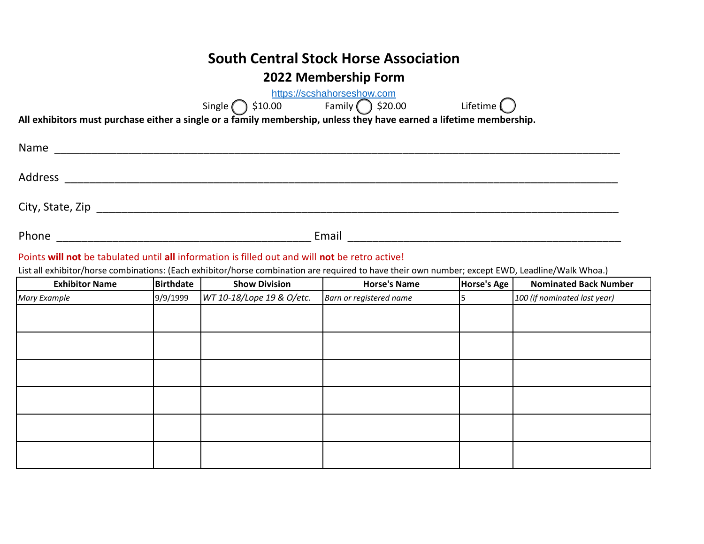## **South Central Stock Horse Association**

### **2022 Membership Form**

|         |                                                                                                                     | https://scshahorseshow.com<br>Single $\bigcirc$ \$10.00 Family $\bigcirc$ \$20.00 | Lifetime $\bigcap$ |  |
|---------|---------------------------------------------------------------------------------------------------------------------|-----------------------------------------------------------------------------------|--------------------|--|
|         | All exhibitors must purchase either a single or a family membership, unless they have earned a lifetime membership. |                                                                                   |                    |  |
| Name    |                                                                                                                     |                                                                                   |                    |  |
| Address |                                                                                                                     |                                                                                   |                    |  |
|         |                                                                                                                     |                                                                                   |                    |  |
| Phone   |                                                                                                                     | Email                                                                             |                    |  |

#### Points **will not** be tabulated until **all** information is filled out and will **not** be retro active!

List all exhibitor/horse combinations: (Each exhibitor/horse combination are required to have their own number; except EWD, Leadline/Walk Whoa.)

| <b>Exhibitor Name</b> | <b>Birthdate</b> | <b>Show Division</b>      | <b>Horse's Name</b>     | Horse's Age | <b>Nominated Back Number</b> |
|-----------------------|------------------|---------------------------|-------------------------|-------------|------------------------------|
| Mary Example          | 9/9/1999         | WT 10-18/Lope 19 & O/etc. | Barn or registered name |             | 100 (if nominated last year) |
|                       |                  |                           |                         |             |                              |
|                       |                  |                           |                         |             |                              |
|                       |                  |                           |                         |             |                              |
|                       |                  |                           |                         |             |                              |
|                       |                  |                           |                         |             |                              |
|                       |                  |                           |                         |             |                              |